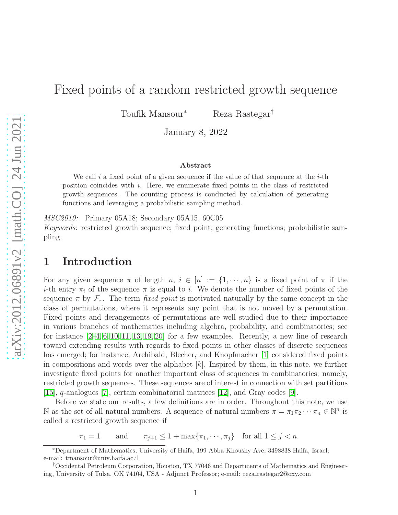# Fixed points of a random restricted growth sequence

Toufik Mansour<sup>∗</sup> Reza Rastegar<sup>†</sup>

January 8, 2022

#### Abstract

We call i a fixed point of a given sequence if the value of that sequence at the  $i$ -th position coincides with i. Here, we enumerate fixed points in the class of restricted growth sequences. The counting process is conducted by calculation of generating functions and leveraging a probabilistic sampling method.

MSC2010: Primary 05A18; Secondary 05A15, 60C05

Keywords: restricted growth sequence; fixed point; generating functions; probabilistic sampling.

### 1 Introduction

For any given sequence  $\pi$  of length  $n, i \in [n] := \{1, \dots, n\}$  is a fixed point of  $\pi$  if the i-th entry  $\pi_i$  of the sequence  $\pi$  is equal to i. We denote the number of fixed points of the sequence  $\pi$  by  $\mathcal{F}_{\pi}$ . The term fixed point is motivated naturally by the same concept in the class of permutations, where it represents any point that is not moved by a permutation. Fixed points and derangements of permutations are well studied due to their importance in various branches of mathematics including algebra, probability, and combinatorics; see for instance  $[2-4, 6, 10, 11, 13, 19, 20]$  $[2-4, 6, 10, 11, 13, 19, 20]$  $[2-4, 6, 10, 11, 13, 19, 20]$  $[2-4, 6, 10, 11, 13, 19, 20]$  $[2-4, 6, 10, 11, 13, 19, 20]$  $[2-4, 6, 10, 11, 13, 19, 20]$  $[2-4, 6, 10, 11, 13, 19, 20]$  for a few examples. Recently, a new line of research toward extending results with regards to fixed points in other classes of discrete sequences has emerged; for instance, Archibald, Blecher, and Knopfmacher [\[1\]](#page-8-8) considered fixed points in compositions and words over the alphabet  $[k]$ . Inspired by them, in this note, we further investigate fixed points for another important class of sequences in combinatorics; namely, restricted growth sequences. These sequences are of interest in connection with set partitions [\[15\]](#page-8-9), q-analogues [\[7\]](#page-8-10), certain combinatorial matrices [\[12\]](#page-8-11), and Gray codes [\[9\]](#page-8-12).

Before we state our results, a few definitions are in order. Throughout this note, we use N as the set of all natural numbers. A sequence of natural numbers  $\pi = \pi_1 \pi_2 \cdots \pi_n \in \mathbb{N}^n$  is called a restricted growth sequence if

 $\pi_1 = 1$  and  $\pi_{j+1} \leq 1 + \max\{\pi_1, \cdots, \pi_j\}$  for all  $1 \leq j < n$ .

<sup>∗</sup>Department of Mathematics, University of Haifa, 199 Abba Khoushy Ave, 3498838 Haifa, Israel; e-mail: tmansour@univ.haifa.ac.il

<sup>†</sup>Occidental Petroleum Corporation, Houston, TX 77046 and Departments of Mathematics and Engineering, University of Tulsa, OK 74104, USA - Adjunct Professor; e-mail: reza rastegar2@oxy.com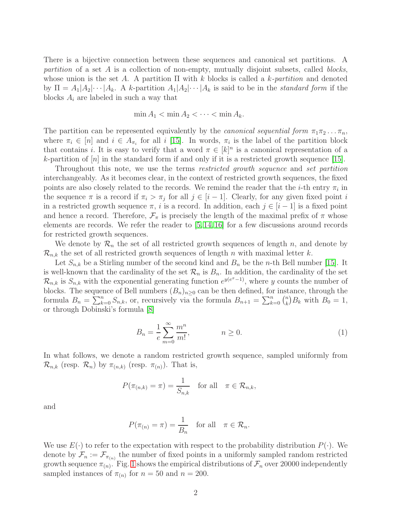There is a bijective connection between these sequences and canonical set partitions. A partition of a set  $A$  is a collection of non-empty, mutually disjoint subsets, called *blocks*, whose union is the set A. A partition  $\Pi$  with k blocks is called a k-partition and denoted by  $\Pi = A_1 | A_2 | \cdots | A_k$ . A k-partition  $A_1 | A_2 | \cdots | A_k$  is said to be in the *standard form* if the blocks  $A_i$  are labeled in such a way that

$$
\min A_1 < \min A_2 < \cdots < \min A_k.
$$

The partition can be represented equivalently by the *canonical sequential form*  $\pi_1 \pi_2 \dots \pi_n$ , where  $\pi_i \in [n]$  and  $i \in A_{\pi_i}$  for all i [\[15\]](#page-8-9). In words,  $\pi_i$  is the label of the partition block that contains *i*. It is easy to verify that a word  $\pi \in [k]^n$  is a canonical representation of a k-partition of  $[n]$  in the standard form if and only if it is a restricted growth sequence [\[15\]](#page-8-9).

Throughout this note, we use the terms restricted growth sequence and set partition interchangeably. As it becomes clear, in the context of restricted growth sequences, the fixed points are also closely related to the records. We remind the reader that the *i*-th entry  $\pi_i$  in the sequence  $\pi$  is a record if  $\pi_i > \pi_j$  for all  $j \in [i-1]$ . Clearly, for any given fixed point i in a restricted growth sequence  $\pi$ , i is a record. In addition, each  $j \in [i-1]$  is a fixed point and hence a record. Therefore,  $\mathcal{F}_{\pi}$  is precisely the length of the maximal prefix of  $\pi$  whose elements are records. We refer the reader to [\[5,](#page-8-13) [14,](#page-8-14) [16\]](#page-8-15) for a few discussions around records for restricted growth sequences.

We denote by  $\mathcal{R}_n$  the set of all restricted growth sequences of length n, and denote by  $\mathcal{R}_{n,k}$  the set of all restricted growth sequences of length n with maximal letter k.

Let  $S_{n,k}$  be a Stirling number of the second kind and  $B_n$  be the *n*-th Bell number [\[15\]](#page-8-9). It is well-known that the cardinality of the set  $\mathcal{R}_n$  is  $B_n$ . In addition, the cardinality of the set  $\mathcal{R}_{n,k}$  is  $S_{n,k}$  with the exponential generating function  $e^{y(e^x-1)}$ , where y counts the number of blocks. The sequence of Bell numbers  $(B_n)_{n\geq 0}$  can be then defined, for instance, through the formula  $B_n = \sum_{k=0}^n S_{n,k}$ , or, recursively via the formula  $B_{n+1} = \sum_{k=0}^n {n \choose k}$  $\binom{n}{k}B_k$  with  $B_0=1$ , or through Dobinski's formula [\[8\]](#page-8-16)

<span id="page-1-0"></span>
$$
B_n = \frac{1}{e} \sum_{m=0}^{\infty} \frac{m^n}{m!}, \qquad n \ge 0.
$$
 (1)

In what follows, we denote a random restricted growth sequence, sampled uniformly from  $\mathcal{R}_{n,k}$  (resp.  $\mathcal{R}_n$ ) by  $\pi_{(n,k)}$  (resp.  $\pi_{(n)}$ ). That is,

$$
P(\pi_{(n,k)} = \pi) = \frac{1}{S_{n,k}} \quad \text{for all} \quad \pi \in \mathcal{R}_{n,k},
$$

and

$$
P(\pi_{(n)} = \pi) = \frac{1}{B_n} \quad \text{for all} \quad \pi \in \mathcal{R}_n.
$$

We use  $E(\cdot)$  to refer to the expectation with respect to the probability distribution  $P(\cdot)$ . We denote by  $\mathcal{F}_n := \mathcal{F}_{\pi(n)}$  the number of fixed points in a uniformly sampled random restricted growth sequence  $\pi_{(n)}$ . Fig. [1](#page-2-0) shows the empirical distributions of  $\mathcal{F}_n$  over 20000 independently sampled instances of  $\pi_{(n)}$  for  $n = 50$  and  $n = 200$ .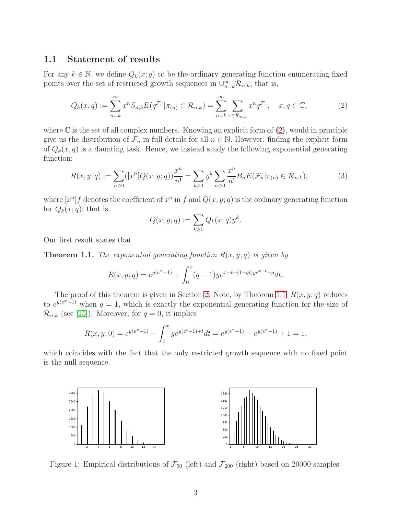### 1.1 Statement of results

For any  $k \in \mathbb{N}$ , we define  $Q_k(x; q)$  to be the ordinary generating function enumerating fixed points over the set of restricted growth sequences in  $\cup_{n=k}^{\infty} \mathcal{R}_{n,k}$ ; that is,

<span id="page-2-1"></span>
$$
Q_k(x,q) := \sum_{n=k}^{\infty} x^n S_{n,k} E(q^{\mathcal{F}_n} | \pi_{(n)} \in \mathcal{R}_{n,k}) = \sum_{n=k}^{\infty} \sum_{\pi \in \mathcal{R}_{n,k}} x^n q^{\mathcal{F}_\pi}, \quad x, q \in \mathbb{C},
$$
 (2)

where  $\mathbb C$  is the set of all complex numbers. Knowing an explicit form of  $(2)$ , would in principle give us the distribution of  $\mathcal{F}_n$  in full details for all  $n \in \mathbb{N}$ . However, finding the explicit form of  $Q_k(x, q)$  is a daunting task. Hence, we instead study the following exponential generating function:

<span id="page-2-3"></span>
$$
R(x, y; q) := \sum_{n \ge 0} ([x^n] Q(x, y; q)) \frac{x^n}{n!} = \sum_{k \ge 1} y^k \sum_{n \ge 0} \frac{x^n}{n!} B_n E(\mathcal{F}_n | \pi_{(n)} \in \mathcal{R}_{n,k}), \tag{3}
$$

where  $[x^n]f$  denotes the coefficient of  $x^n$  in f and  $Q(x, y; q)$  is the ordinary generating function for  $Q_k(x; q)$ ; that is,

$$
Q(x, y; q) := \sum_{k \ge 0} Q_k(x; q) y^k.
$$

Our first result states that

<span id="page-2-2"></span>**Theorem 1.1.** The exponential generating function  $R(x, y; q)$  is given by

$$
R(x, y; q) = e^{y(e^x - 1)} + \int_0^x (q - 1) y e^{x - t + (1 + qt)y e^{x - t} - y} dt.
$$

The proof of this theorem is given in Section [2.](#page-4-0) Note, by Theorem [1.1,](#page-2-2)  $R(x, y; q)$  reduces to  $e^{y(e^x-1)}$  when  $q=1$ , which is exactly the exponential generating function for the size of  $\mathcal{R}_{n,k}$  (see [\[15\]](#page-8-9)). Moreover, for  $q=0$ , it implies

$$
R(x, y; 0) = e^{y(e^x - 1)} - \int_0^x y e^{y(e^t - 1) + t} dt = e^{y(e^x - 1)} - e^{y(e^x - 1)} + 1 = 1,
$$

<span id="page-2-0"></span>which coincides with the fact that the only restricted growth sequence with no fixed point is the null sequence.



Figure 1: Empirical distributions of  $\mathcal{F}_{50}$  (left) and  $\mathcal{F}_{200}$  (right) based on 20000 samples.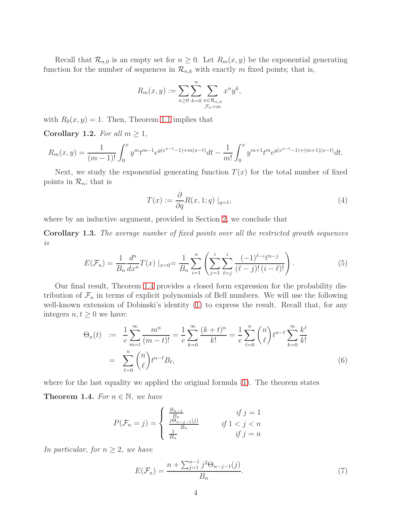Recall that  $\mathcal{R}_{n,0}$  is an empty set for  $n \geq 0$ . Let  $R_m(x, y)$  be the exponential generating function for the number of sequences in  $\mathcal{R}_{n,k}$  with exactly m fixed points; that is,

$$
R_m(x, y) := \sum_{n \geq 0} \sum_{k=0}^n \sum_{\substack{\pi \in \mathcal{R}_{n,k} \\ \mathcal{F}_{\pi} = m}} x^n y^k,
$$

with  $R_0(x, y) = 1$ . Then, Theorem [1.1](#page-2-2) implies that

Corollary 1.2. For all  $m \geq 1$ ,

$$
R_m(x,y) = \frac{1}{(m-1)!} \int_0^x y^m t^{m-1} e^{y(e^{x-t}-1) + m(x-t)} dt - \frac{1}{m!} \int_0^x y^{m+1} t^m e^{y(e^{x-t}-1) + (m+1)(x-t)} dt.
$$

Next, we study the exponential generating function  $T(x)$  for the total number of fixed points in  $\mathcal{R}_n$ ; that is

<span id="page-3-4"></span>
$$
T(x) := \frac{\partial}{\partial q} R(x, 1; q) \mid_{q=1},
$$
\n(4)

where by an inductive argument, provided in Section [2,](#page-4-0) we conclude that

<span id="page-3-3"></span>Corollary 1.3. The average number of fixed points over all the restricted growth sequences is

<span id="page-3-1"></span>
$$
E(\mathcal{F}_n) = \frac{1}{B_n} \frac{d^n}{dx^n} T(x) \mid_{x=0} = \frac{1}{B_n} \sum_{i=1}^n \left( \sum_{j=1}^i \sum_{\ell=j}^i \frac{(-1)^{\ell-i} \ell^{n-j}}{(\ell-j)! (i-\ell)!} \right).
$$
 (5)

Our final result, Theorem [1.4](#page-3-0) provides a closed form expression for the probability distribution of  $\mathcal{F}_n$  in terms of explicit polynomials of Bell numbers. We will use the following well-known extension of Dobinski's identity  $(1)$  to express the result. Recall that, for any integers  $n, t \geq 0$  we have:

<span id="page-3-5"></span>
$$
\Theta_n(t) := \frac{1}{e} \sum_{m=t}^{\infty} \frac{m^n}{(m-t)!} = \frac{1}{e} \sum_{k=0}^{\infty} \frac{(k+t)^n}{k!} = \frac{1}{e} \sum_{\ell=0}^n {n \choose \ell} t^{n-\ell} \sum_{k=0}^{\infty} \frac{k^{\ell}}{k!}
$$

$$
= \sum_{\ell=0}^n {n \choose \ell} t^{n-\ell} B_{\ell}, \tag{6}
$$

<span id="page-3-0"></span>where for the last equality we applied the original formula [\(1\)](#page-1-0). The theorem states **Theorem 1.4.** For  $n \in \mathbb{N}$ , we have

$$
P(\mathcal{F}_n = j) = \begin{cases} \frac{B_{n-1}}{B_n} & \text{if } j = 1\\ \frac{j\Theta_{n-j-1}(j)}{B_n} & \text{if } 1 < j < n\\ \frac{1}{B_n} & \text{if } j = n \end{cases}
$$

In particular, for  $n \geq 2$ , we have

<span id="page-3-2"></span>
$$
E(\mathcal{F}_n) = \frac{n + \sum_{j=1}^{n-1} j^2 \Theta_{n-j-1}(j)}{B_n}.
$$
 (7)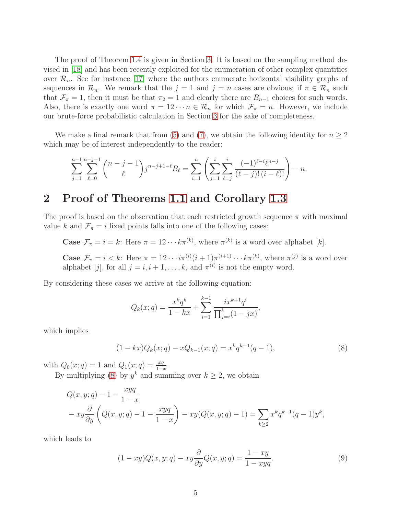The proof of Theorem [1.4](#page-3-0) is given in Section [3.](#page-6-0) It is based on the sampling method devised in [\[18\]](#page-8-17) and has been recently exploited for the enumeration of other complex quantities over  $\mathcal{R}_n$ . See for instance [\[17\]](#page-8-18) where the authors enumerate horizontal visibility graphs of sequences in  $\mathcal{R}_n$ . We remark that the  $j = 1$  and  $j = n$  cases are obvious; if  $\pi \in \mathcal{R}_n$  such that  $\mathcal{F}_{\pi} = 1$ , then it must be that  $\pi_2 = 1$  and clearly there are  $B_{n-1}$  choices for such words. Also, there is exactly one word  $\pi = 12 \cdots n \in \mathcal{R}_n$  for which  $\mathcal{F}_\pi = n$ . However, we include our brute-force probabilistic calculation in Section [3](#page-6-0) for the sake of completeness.

We make a final remark that from [\(5\)](#page-3-1) and [\(7\)](#page-3-2), we obtain the following identity for  $n \geq 2$ which may be of interest independently to the reader:

$$
\sum_{j=1}^{n-1} \sum_{\ell=0}^{n-j-1} {n-j-1 \choose \ell} j^{n-j+1-\ell} B_{\ell} = \sum_{i=1}^{n} \left( \sum_{j=1}^{i} \sum_{\ell=j}^{i} \frac{(-1)^{\ell-i} \ell^{n-j}}{(\ell-j)! (i-\ell)!} \right) - n.
$$

# <span id="page-4-0"></span>2 Proof of Theorems [1.1](#page-2-2) and Corollary [1.3](#page-3-3)

The proof is based on the observation that each restricted growth sequence  $\pi$  with maximal value k and  $\mathcal{F}_{\pi} = i$  fixed points falls into one of the following cases:

**Case**  $\mathcal{F}_{\pi} = i = k$ : Here  $\pi = 12 \cdots k \pi^{(k)}$ , where  $\pi^{(k)}$  is a word over alphabet [k].

**Case**  $\mathcal{F}_{\pi} = i < k$ : Here  $\pi = 12 \cdots i \pi^{(i)} (i+1) \pi^{(i+1)} \cdots k \pi^{(k)}$ , where  $\pi^{(j)}$  is a word over alphabet [j], for all  $j = i, i + 1, ..., k$ , and  $\pi^{(i)}$  is not the empty word.

By considering these cases we arrive at the following equation:

<span id="page-4-1"></span>
$$
Q_k(x;q) = \frac{x^k q^k}{1 - kx} + \sum_{i=1}^{k-1} \frac{ix^{k+1} q^i}{\prod_{j=i}^k (1 - jx)},
$$

which implies

$$
(1 - kx)Q_k(x;q) - xQ_{k-1}(x;q) = x^k q^{k-1}(q-1),
$$
\n(8)

with  $Q_0(x; q) = 1$  and  $Q_1(x; q) = \frac{xq}{1-x}$ .

By multiplying [\(8\)](#page-4-1) by  $y^k$  and summing over  $k \geq 2$ , we obtain

$$
Q(x, y; q) - 1 - \frac{xyq}{1-x}
$$
  
- 
$$
xy\frac{\partial}{\partial y}\left(Q(x, y; q) - 1 - \frac{xyq}{1-x}\right) - xy(Q(x, y; q) - 1) = \sum_{k \ge 2} x^k q^{k-1}(q-1)y^k,
$$

which leads to

<span id="page-4-2"></span>
$$
(1 - xy)Q(x, y; q) - xy\frac{\partial}{\partial y}Q(x, y; q) = \frac{1 - xy}{1 - xyq}.
$$
\n(9)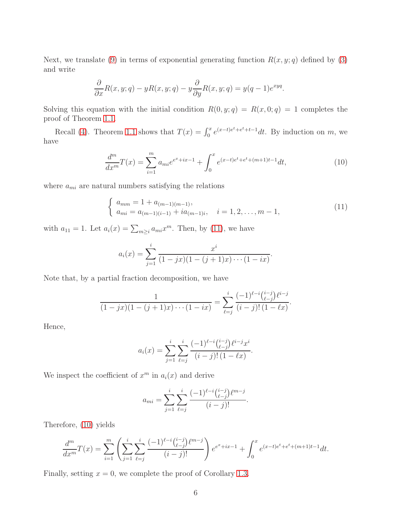Next, we translate [\(9\)](#page-4-2) in terms of exponential generating function  $R(x, y; q)$  defined by [\(3\)](#page-2-3) and write

$$
\frac{\partial}{\partial x}R(x, y; q) - yR(x, y; q) - y\frac{\partial}{\partial y}R(x, y; q) = y(q - 1)e^{xyq}.
$$

Solving this equation with the initial condition  $R(0, y; q) = R(x, 0; q) = 1$  completes the proof of Theorem [1.1.](#page-2-2)

Recall [\(4\)](#page-3-4). Theorem [1.1](#page-2-2) shows that  $T(x) = \int_0^x e^{(x-t)e^t + e^t + t-1} dt$ . By induction on m, we have

<span id="page-5-1"></span>
$$
\frac{d^m}{dx^m}T(x) = \sum_{i=1}^m a_{mi}e^{e^x + ix - 1} + \int_0^x e^{(x-t)e^t + e^t + (m+1)t - 1}dt,\tag{10}
$$

where  $a_{mi}$  are natural numbers satisfying the relations

$$
\begin{cases}\n a_{mm} = 1 + a_{(m-1)(m-1)}, \\
a_{mi} = a_{(m-1)(i-1)} + ia_{(m-1)i}, \quad i = 1, 2, \dots, m-1,\n\end{cases}
$$
\n(11)

with  $a_{11} = 1$ . Let  $a_i(x) = \sum_{m \geq i} a_{mi} x^m$ . Then, by [\(11\)](#page-5-0), we have

<span id="page-5-0"></span>
$$
a_i(x) = \sum_{j=1}^i \frac{x^i}{(1-jx)(1-(j+1)x)\cdots(1-ix)}.
$$

Note that, by a partial fraction decomposition, we have

$$
\frac{1}{(1-jx)(1-(j+1)x)\cdots(1-ix)} = \sum_{\ell=j}^{i} \frac{(-1)^{\ell-i} {i-j \choose \ell-j} \ell^{i-j}}{(i-j)!(1-\ell x)}.
$$

Hence,

$$
a_i(x) = \sum_{j=1}^i \sum_{\ell=j}^i \frac{(-1)^{\ell-i} {i-j \choose \ell-j} \ell^{i-j} x^i}{(i-j)!(1-\ell x)}.
$$

We inspect the coefficient of  $x^m$  in  $a_i(x)$  and derive

$$
a_{mi} = \sum_{j=1}^{i} \sum_{\ell=j}^{i} \frac{(-1)^{\ell-i} {i-j \choose \ell-j} \ell^{m-j}}{(i-j)!}.
$$

Therefore, [\(10\)](#page-5-1) yields

$$
\frac{d^m}{dx^m}T(x) = \sum_{i=1}^m \left( \sum_{j=1}^i \sum_{\ell=j}^i \frac{(-1)^{\ell-i} {i-j \choose \ell-j} \ell^{m-j}}{(i-j)!} \right) e^{e^x + ix - 1} + \int_0^x e^{(x-t)e^t + e^t + (m+1)t - 1} dt.
$$

Finally, setting  $x = 0$ , we complete the proof of Corollary [1.3.](#page-3-3)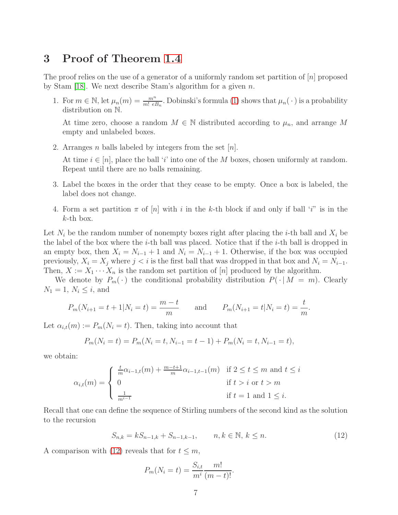## <span id="page-6-0"></span>3 Proof of Theorem [1.4](#page-3-0)

The proof relies on the use of a generator of a uniformly random set partition of  $[n]$  proposed by Stam [\[18\]](#page-8-17). We next describe Stam's algorithm for a given  $n$ .

1. For  $m \in \mathbb{N}$ , let  $\mu_n(m) = \frac{m^n}{m! \epsilon B_n}$ . Dobinski's formula [\(1\)](#page-1-0) shows that  $\mu_n(\cdot)$  is a probability distribution on N.

At time zero, choose a random  $M \in \mathbb{N}$  distributed according to  $\mu_n$ , and arrange M empty and unlabeled boxes.

2. Arranges *n* balls labeled by integers from the set [*n*].

At time  $i \in [n]$ , place the ball 'i' into one of the M boxes, chosen uniformly at random. Repeat until there are no balls remaining.

- 3. Label the boxes in the order that they cease to be empty. Once a box is labeled, the label does not change.
- 4. Form a set partition  $\pi$  of  $[n]$  with i in the k-th block if and only if ball 'i'' is in the  $k$ -th box.

Let  $N_i$  be the random number of nonempty boxes right after placing the *i*-th ball and  $X_i$  be the label of the box where the  $i$ -th ball was placed. Notice that if the  $i$ -th ball is dropped in an empty box, then  $X_i = N_{i-1} + 1$  and  $N_i = N_{i-1} + 1$ . Otherwise, if the box was occupied previously,  $X_i = X_j$  where  $j < i$  is the first ball that was dropped in that box and  $N_i = N_{i-1}$ . Then,  $X := X_1 \cdots X_n$  is the random set partition of [n] produced by the algorithm.

We denote by  $P_m(\cdot)$  the conditional probability distribution  $P(\cdot | M = m)$ . Clearly  $N_1 = 1, N_i \leq i$ , and

$$
P_m(N_{i+1} = t + 1 | N_i = t) = \frac{m-t}{m}
$$
 and  $P_m(N_{i+1} = t | N_i = t) = \frac{t}{m}$ .

Let  $\alpha_{i,t}(m) := P_m(N_i = t)$ . Then, taking into account that

$$
P_m(N_i = t) = P_m(N_i = t, N_{i-1} = t - 1) + P_m(N_i = t, N_{i-1} = t),
$$

we obtain:

$$
\alpha_{i,t}(m) = \begin{cases} \frac{t}{m} \alpha_{i-1,t}(m) + \frac{m-t+1}{m} \alpha_{i-1,t-1}(m) & \text{if } 2 \le t \le m \text{ and } t \le i \\ 0 & \text{if } t > i \text{ or } t > m \\ \frac{1}{m^{i-1}} & \text{if } t = 1 \text{ and } 1 \le i. \end{cases}
$$

Recall that one can define the sequence of Stirling numbers of the second kind as the solution to the recursion

<span id="page-6-1"></span>
$$
S_{n,k} = kS_{n-1,k} + S_{n-1,k-1}, \qquad n, k \in \mathbb{N}, k \le n.
$$
 (12)

A comparison with [\(12\)](#page-6-1) reveals that for  $t \leq m$ ,

$$
P_m(N_i = t) = \frac{S_{i,t}}{m^i} \frac{m!}{(m-t)!}.
$$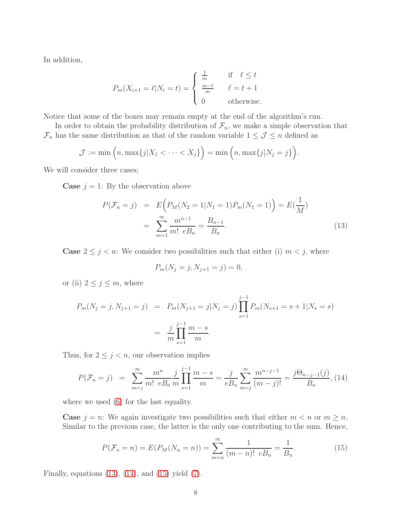In addition,

$$
P_m(X_{i+1} = \ell | N_i = t) = \begin{cases} \frac{1}{m} & \text{if } \ell \le t \\ \frac{m-t}{m} & \ell = t+1 \\ 0 & \text{otherwise.} \end{cases}
$$

Notice that some of the boxes may remain empty at the end of the algorithm's run.

In order to obtain the probability distribution of  $\mathcal{F}_n$ , we make a simple observation that  $\mathcal{F}_n$  has the same distribution as that of the random variable  $1 \leq \mathcal{J} \leq n$  defined as

$$
\mathcal{J} := \min\Big(n, \max\{j | X_1 < \cdots < X_j\}\Big) = \min\Big(n, \max\{j | N_j = j\}\Big).
$$

We will consider three cases;

**Case**  $j = 1$ : By the observation above

<span id="page-7-0"></span>
$$
P(\mathcal{F}_n = j) = E\Big(P_M(N_2 = 1 | N_1 = 1) P_m(N_1 = 1)\Big) = E\left(\frac{1}{M}\right)
$$
  
= 
$$
\sum_{m=1}^{\infty} \frac{m^{n-1}}{m! e B_n} = \frac{B_{n-1}}{B_n}.
$$
 (13)

**Case**  $2 \leq j \leq n$ : We consider two possibilities such that either (i)  $m \leq j$ , where

$$
P_m(N_j = j, N_{j+1} = j) = 0,
$$

or (ii)  $2 \leq j \leq m$ , where

$$
P_m(N_j = j, N_{j+1} = j) = P_m(N_{j+1} = j | N_j = j) \prod_{s=1}^{j-1} P_m(N_{s+1} = s+1 | N_s = s)
$$

$$
= \frac{j}{m} \prod_{s=1}^{j-1} \frac{m-s}{m}.
$$

Thus, for  $2 \leq j \leq n$ , our observation implies

<span id="page-7-1"></span>
$$
P(\mathcal{F}_n = j) = \sum_{m=j}^{\infty} \frac{m^n}{m! \ eB_n} \frac{j}{m} \prod_{s=1}^{j-1} \frac{m-s}{m} = \frac{j}{eB_n} \sum_{m=j}^{\infty} \frac{m^{n-j-1}}{(m-j)!} = \frac{j\Theta_{n-j-1}(j)}{B_n},
$$
(14)

where we used [\(6\)](#page-3-5) for the last equality.

**Case**  $j = n$ : We again investigate two possibilities such that either  $m < n$  or  $m \ge n$ . Similar to the previous case, the latter is the only one contributing to the sum. Hence,

<span id="page-7-2"></span>
$$
P(\mathcal{F}_n = n) = E(P_M(N_n = n)) = \sum_{m=n}^{\infty} \frac{1}{(m-n)! \ e B_n} = \frac{1}{B_n}.
$$
 (15)

Finally, equations  $(13)$ ,  $(14)$ , and  $(15)$  yield  $(7)$ .